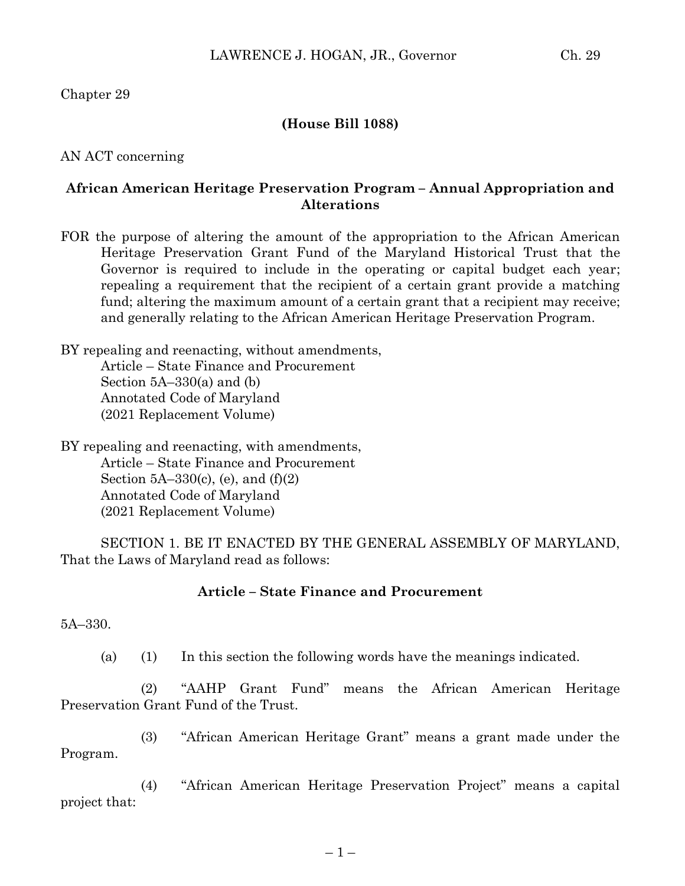Chapter 29

## **(House Bill 1088)**

AN ACT concerning

## **African American Heritage Preservation Program – Annual Appropriation and Alterations**

FOR the purpose of altering the amount of the appropriation to the African American Heritage Preservation Grant Fund of the Maryland Historical Trust that the Governor is required to include in the operating or capital budget each year; repealing a requirement that the recipient of a certain grant provide a matching fund; altering the maximum amount of a certain grant that a recipient may receive; and generally relating to the African American Heritage Preservation Program.

BY repealing and reenacting, without amendments, Article – State Finance and Procurement Section 5A–330(a) and (b) Annotated Code of Maryland (2021 Replacement Volume)

BY repealing and reenacting, with amendments, Article – State Finance and Procurement Section  $5A-330(c)$ , (e), and  $(f)(2)$ Annotated Code of Maryland (2021 Replacement Volume)

SECTION 1. BE IT ENACTED BY THE GENERAL ASSEMBLY OF MARYLAND, That the Laws of Maryland read as follows:

## **Article – State Finance and Procurement**

5A–330.

(a) (1) In this section the following words have the meanings indicated.

(2) "AAHP Grant Fund" means the African American Heritage Preservation Grant Fund of the Trust.

(3) "African American Heritage Grant" means a grant made under the Program.

(4) "African American Heritage Preservation Project" means a capital project that: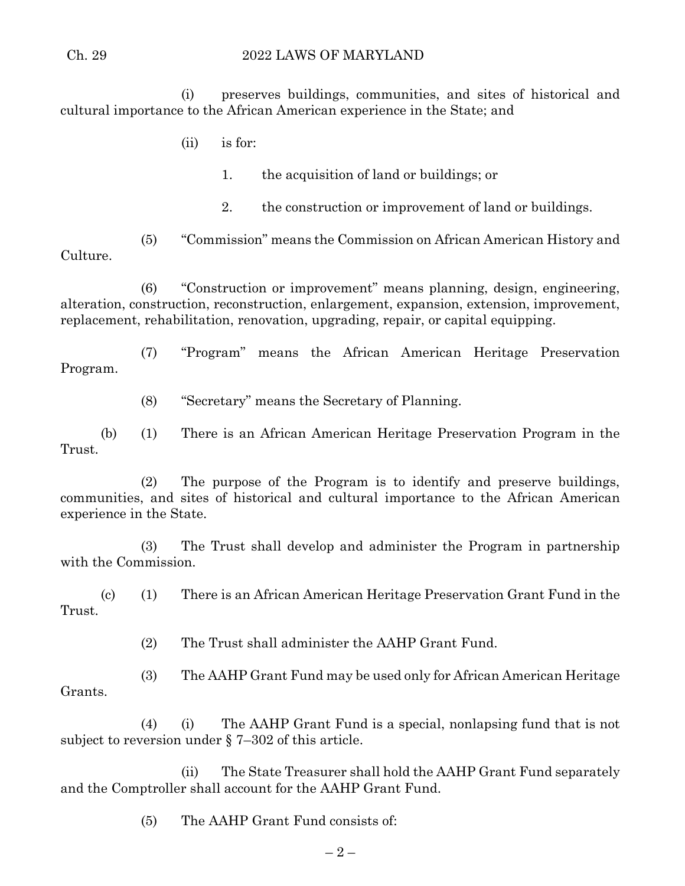## Ch. 29 2022 LAWS OF MARYLAND

(i) preserves buildings, communities, and sites of historical and cultural importance to the African American experience in the State; and

(ii) is for:

1. the acquisition of land or buildings; or

2. the construction or improvement of land or buildings.

(5) "Commission" means the Commission on African American History and Culture.

(6) "Construction or improvement" means planning, design, engineering, alteration, construction, reconstruction, enlargement, expansion, extension, improvement, replacement, rehabilitation, renovation, upgrading, repair, or capital equipping.

(7) "Program" means the African American Heritage Preservation Program.

(8) "Secretary" means the Secretary of Planning.

(b) (1) There is an African American Heritage Preservation Program in the Trust.

(2) The purpose of the Program is to identify and preserve buildings, communities, and sites of historical and cultural importance to the African American experience in the State.

(3) The Trust shall develop and administer the Program in partnership with the Commission.

(c) (1) There is an African American Heritage Preservation Grant Fund in the Trust.

(2) The Trust shall administer the AAHP Grant Fund.

(3) The AAHP Grant Fund may be used only for African American Heritage Grants.

(4) (i) The AAHP Grant Fund is a special, nonlapsing fund that is not subject to reversion under § 7–302 of this article.

(ii) The State Treasurer shall hold the AAHP Grant Fund separately and the Comptroller shall account for the AAHP Grant Fund.

(5) The AAHP Grant Fund consists of: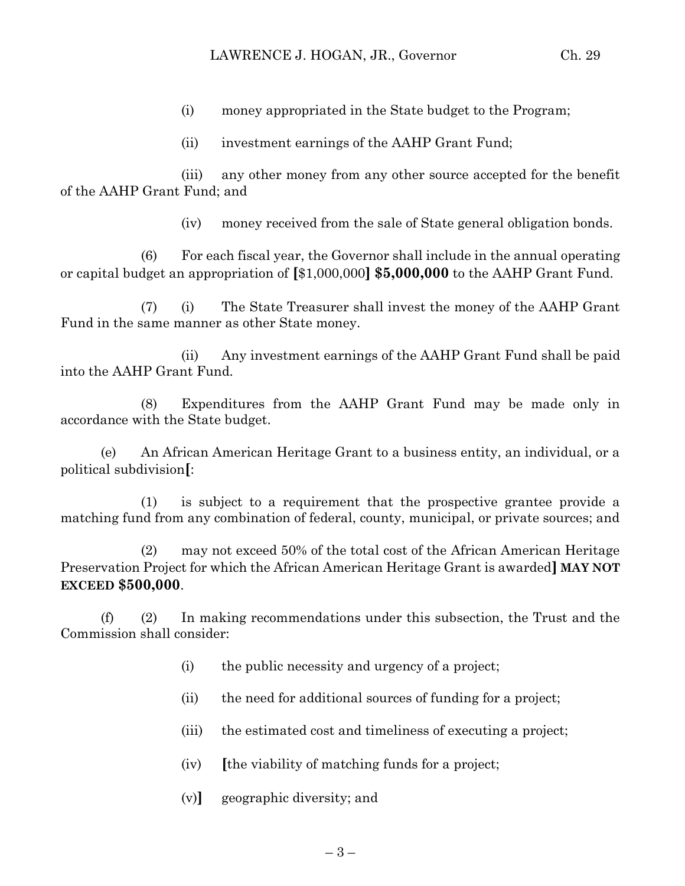- (i) money appropriated in the State budget to the Program;
- (ii) investment earnings of the AAHP Grant Fund;

(iii) any other money from any other source accepted for the benefit of the AAHP Grant Fund; and

(iv) money received from the sale of State general obligation bonds.

(6) For each fiscal year, the Governor shall include in the annual operating or capital budget an appropriation of **[**\$1,000,000**] \$5,000,000** to the AAHP Grant Fund.

(7) (i) The State Treasurer shall invest the money of the AAHP Grant Fund in the same manner as other State money.

(ii) Any investment earnings of the AAHP Grant Fund shall be paid into the AAHP Grant Fund.

(8) Expenditures from the AAHP Grant Fund may be made only in accordance with the State budget.

(e) An African American Heritage Grant to a business entity, an individual, or a political subdivision**[**:

(1) is subject to a requirement that the prospective grantee provide a matching fund from any combination of federal, county, municipal, or private sources; and

(2) may not exceed 50% of the total cost of the African American Heritage Preservation Project for which the African American Heritage Grant is awarded**] MAY NOT EXCEED \$500,000**.

(f) (2) In making recommendations under this subsection, the Trust and the Commission shall consider:

- (i) the public necessity and urgency of a project;
- (ii) the need for additional sources of funding for a project;
- (iii) the estimated cost and timeliness of executing a project;
- (iv) **[**the viability of matching funds for a project;
- (v)**]** geographic diversity; and